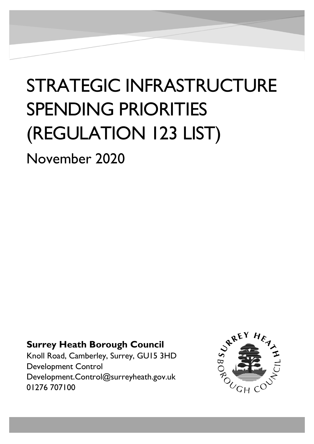## STRATEGIC INFRASTRUCTURE SPENDING PRIORITIES (REGULATION 123 LIST)

November 2020

#

## **Surrey Heath Borough Council**

Knoll Road, Camberley, Surrey, GU15 3HD Development Control Development.Control@surreyheath.gov.uk 01276 707100